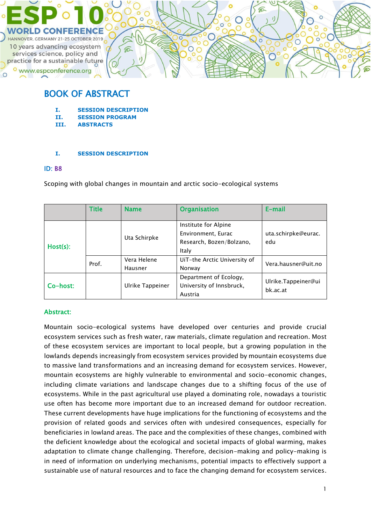

# BOOK OF ABSTRACT

- **I. SESSION DESCRIPTION**
- **II. SESSION PROGRAM**
- **III. ABSTRACTS**

### **I. SESSION DESCRIPTION**

### ID: B8

Scoping with global changes in mountain and arctic socio-ecological systems

|          | <b>Title</b> | <b>Name</b>            | <b>Organisation</b>                                                                              | E-mail                     |
|----------|--------------|------------------------|--------------------------------------------------------------------------------------------------|----------------------------|
| Host(s): |              | Uta Schirpke           | Institute for Alpine<br>Environment, Eurac<br>Research, Bozen/Bolzano,<br>Italy                  | uta.schirpke@eurac.<br>edu |
|          | Prof.        | Vera Helene<br>Hausner | UiT-the Arctic University of<br>Norway                                                           | Vera.hausner@uit.no        |
| Co-host: |              | Ulrike Tappeiner       | Department of Ecology,<br>Ulrike.Tappeiner@ui<br>University of Innsbruck,<br>bk.ac.at<br>Austria |                            |

## Abstract:

Mountain socio-ecological systems have developed over centuries and provide crucial ecosystem services such as fresh water, raw materials, climate regulation and recreation. Most of these ecosystem services are important to local people, but a growing population in the lowlands depends increasingly from ecosystem services provided by mountain ecosystems due to massive land transformations and an increasing demand for ecosystem services. However, mountain ecosystems are highly vulnerable to environmental and socio-economic changes, including climate variations and landscape changes due to a shifting focus of the use of ecosystems. While in the past agricultural use played a dominating role, nowadays a touristic use often has become more important due to an increased demand for outdoor recreation. These current developments have huge implications for the functioning of ecosystems and the provision of related goods and services often with undesired consequences, especially for beneficiaries in lowland areas. The pace and the complexities of these changes, combined with the deficient knowledge about the ecological and societal impacts of global warming, makes adaptation to climate change challenging. Therefore, decision-making and policy-making is in need of information on underlying mechanisms, potential impacts to effectively support a sustainable use of natural resources and to face the changing demand for ecosystem services.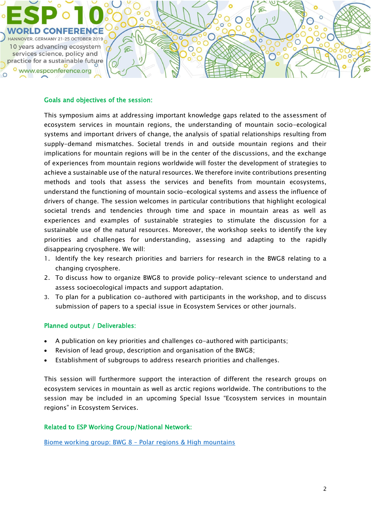

### Goals and objectives of the session:

This symposium aims at addressing important knowledge gaps related to the assessment of ecosystem services in mountain regions, the understanding of mountain socio-ecological systems and important drivers of change, the analysis of spatial relationships resulting from supply-demand mismatches. Societal trends in and outside mountain regions and their implications for mountain regions will be in the center of the discussions, and the exchange of experiences from mountain regions worldwide will foster the development of strategies to achieve a sustainable use of the natural resources. We therefore invite contributions presenting methods and tools that assess the services and benefits from mountain ecosystems, understand the functioning of mountain socio-ecological systems and assess the influence of drivers of change. The session welcomes in particular contributions that highlight ecological societal trends and tendencies through time and space in mountain areas as well as experiences and examples of sustainable strategies to stimulate the discussion for a sustainable use of the natural resources. Moreover, the workshop seeks to identify the key priorities and challenges for understanding, assessing and adapting to the rapidly disappearing cryosphere. We will:

- 1. Identify the key research priorities and barriers for research in the BWG8 relating to a changing cryosphere.
- 2. To discuss how to organize BWG8 to provide policy-relevant science to understand and assess socioecological impacts and support adaptation.
- 3. To plan for a publication co-authored with participants in the workshop, and to discuss submission of papers to a special issue in Ecosystem Services or other journals.

### Planned output / Deliverables:

- A publication on key priorities and challenges co-authored with participants;
- Revision of lead group, description and organisation of the BWG8;
- Establishment of subgroups to address research priorities and challenges.

This session will furthermore support the interaction of different the research groups on ecosystem services in mountain as well as arctic regions worldwide. The contributions to the session may be included in an upcoming Special Issue "Ecosystem services in mountain regions" in Ecosystem Services.

### Related to ESP Working Group/National Network:

Biome working group: BWG 8 – [Polar regions & High mountains](https://www.es-partnership.org/community/workings-groups/biome-working-groups/bwg-8-polar-regions-high-mountains/)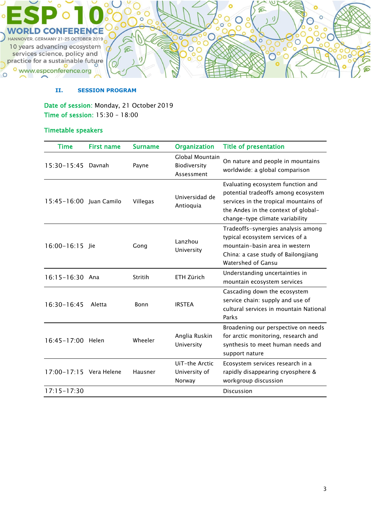

#### **II. SESSION PROGRAM**

Date of session: Monday, 21 October 2019 Time of session: 15:30 – 18:00

# Timetable speakers

o www.espconference.org

 $\circ$ 

| <b>Time</b>             | <b>First name</b> | <b>Surname</b> | <b>Organization</b>                           | <b>Title of presentation</b>                                                                                                                                                                |
|-------------------------|-------------------|----------------|-----------------------------------------------|---------------------------------------------------------------------------------------------------------------------------------------------------------------------------------------------|
| 15:30-15:45 Davnah      |                   | Payne          | Global Mountain<br>Biodiversity<br>Assessment | On nature and people in mountains<br>worldwide: a global comparison                                                                                                                         |
| 15:45-16:00 Iuan Camilo |                   | Villegas       | Universidad de<br>Antioquia                   | Evaluating ecosystem function and<br>potential tradeoffs among ecosystem<br>services in the tropical mountains of<br>the Andes in the context of global-<br>change-type climate variability |
| 16:00-16:15 Jie         |                   | Gong           | Lanzhou<br>University                         | Tradeoffs-synergies analysis among<br>typical ecosystem services of a<br>mountain-basin area in western<br>China: a case study of Bailongjiang<br>Watershed of Gansu                        |
| 16:15-16:30 Ana         |                   | Stritih        | ETH Zürich                                    | Understanding uncertainties in<br>mountain ecosystem services                                                                                                                               |
| 16:30-16:45             | Aletta            | Bonn           | <b>IRSTEA</b>                                 | Cascading down the ecosystem<br>service chain: supply and use of<br>cultural services in mountain National<br>Parks                                                                         |
| 16:45-17:00 Helen       |                   | Wheeler        | Anglia Ruskin<br>University                   | Broadening our perspective on needs<br>for arctic monitoring, research and<br>synthesis to meet human needs and<br>support nature                                                           |
| 17:00-17:15 Vera Helene |                   | Hausner        | UiT-the Arctic<br>University of<br>Norway     | Ecosystem services research in a<br>rapidly disappearing cryosphere &<br>workgroup discussion                                                                                               |
| $17:15 - 17:30$         |                   |                |                                               | <b>Discussion</b>                                                                                                                                                                           |

 $\mathbf{I}$ 

 $\overline{\text{O}}^\circ$ 

 $\breve{\circ}$ 

 $\ddot{\circ}$ 

 $\circ$ <sup>C</sup>

 $\overline{\mathsf{o}}$ ō

 $\overline{O}$ 

 $\circ$  O

OO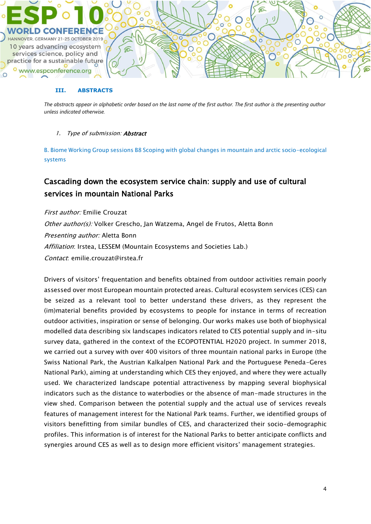

#### **III. ABSTRACTS**

*The abstracts appear in alphabetic order based on the last name of the first author. The first author is the presenting author unless indicated otherwise.*

#### 1. Type of submission: **Abstract**

B. Biome Working Group sessions B8 Scoping with global changes in mountain and arctic socio-ecological systems

# Cascading down the ecosystem service chain: supply and use of cultural services in mountain National Parks

First author: Emilie Crouzat Other author(s): Volker Grescho, Jan Watzema, Angel de Frutos, Aletta Bonn Presenting author: Aletta Bonn Affiliation: Irstea, LESSEM (Mountain Ecosystems and Societies Lab.) Contact: emilie.crouzat@irstea.fr

Drivers of visitors' frequentation and benefits obtained from outdoor activities remain poorly assessed over most European mountain protected areas. Cultural ecosystem services (CES) can be seized as a relevant tool to better understand these drivers, as they represent the (im)material benefits provided by ecosystems to people for instance in terms of recreation outdoor activities, inspiration or sense of belonging. Our works makes use both of biophysical modelled data describing six landscapes indicators related to CES potential supply and in-situ survey data, gathered in the context of the ECOPOTENTIAL H2020 project. In summer 2018, we carried out a survey with over 400 visitors of three mountain national parks in Europe (the Swiss National Park, the Austrian Kalkalpen National Park and the Portuguese Peneda-Geres National Park), aiming at understanding which CES they enjoyed, and where they were actually used. We characterized landscape potential attractiveness by mapping several biophysical indicators such as the distance to waterbodies or the absence of man-made structures in the view shed. Comparison between the potential supply and the actual use of services reveals features of management interest for the National Park teams. Further, we identified groups of visitors benefitting from similar bundles of CES, and characterized their socio-demographic profiles. This information is of interest for the National Parks to better anticipate conflicts and synergies around CES as well as to design more efficient visitors' management strategies.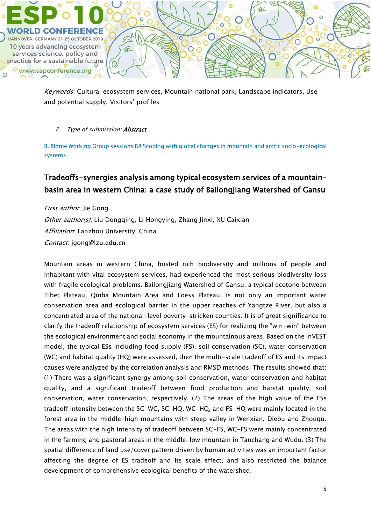

Keywords: Cultural ecosystem services, Mountain national park, Landscape indicators, Use and potential supply, Visitors' profiles

## 2. Type of submission: Abstract

B. Biome Working Group sessions B8 Scoping with global changes in mountain and arctic socio-ecological systems

# Tradeoffs-synergies analysis among typical ecosystem services of a mountainbasin area in western China: a case study of Bailongjiang Watershed of Gansu

First author: Jie Gong Other author(s): Liu Dongqing, Li Hongying, Zhang Jinxi, XU Caixian Affiliation: Lanzhou University, China Contact: jgong@lzu.edu.cn

Mountain areas in western China, hosted rich biodiversity and millions of people and inhabitant with vital ecosystem services, had experienced the most serious biodiversity loss with fragile ecological problems. Bailongjiang Watershed of Gansu, a typical ecotone between Tibet Plateau, Qinba Mountain Area and Loess Plateau, is not only an important water conservation area and ecological barrier in the upper reaches of Yangtze River, but also a concentrated area of the national-level poverty-stricken counties. It is of great significance to clarify the tradeoff relationship of ecosystem services (ES) for realizing the "win-win" between the ecological environment and social economy in the mountainous areas. Based on the InVEST model, the typical ESs including food supply (FS), soil conservation (SC), water conservation (WC) and habitat quality (HQ) were assessed, then the multi-scale tradeoff of ES and its impact causes were analyzed by the correlation analysis and RMSD methods. The results showed that: (1) There was a significant synergy among soil conservation, water conservation and habitat quality, and a significant tradeoff between food production and habitat quality, soil conservation, water conservation, respectively. (2) The areas of the high value of the ESs tradeoff intensity between the SC-WC, SC-HQ, WC-HQ, and FS-HQ were mainly located in the forest area in the middle-high mountains with steep valley in Wenxian, Diebu and Zhouqu. The areas with the high intensity of tradeoff between SC-FS, WC-FS were mainly concentrated in the farming and pastoral areas in the middle-low mountain in Tanchang and Wudu. (3) The spatial difference of land use/cover pattern driven by human activities was an important factor affecting the degree of ES tradeoff and its scale effect, and also restricted the balance development of comprehensive ecological benefits of the watershed.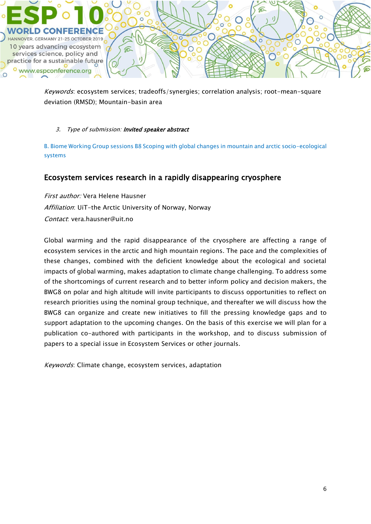

Keywords: ecosystem services; tradeoffs/synergies; correlation analysis; root-mean-square deviation (RMSD); Mountain-basin area

## 3. Type of submission: Invited speaker abstract

B. Biome Working Group sessions B8 Scoping with global changes in mountain and arctic socio-ecological systems

# Ecosystem services research in a rapidly disappearing cryosphere

First author: Vera Helene Hausner Affiliation: UiT-the Arctic University of Norway, Norway Contact: vera.hausner@uit.no

Global warming and the rapid disappearance of the cryosphere are affecting a range of ecosystem services in the arctic and high mountain regions. The pace and the complexities of these changes, combined with the deficient knowledge about the ecological and societal impacts of global warming, makes adaptation to climate change challenging. To address some of the shortcomings of current research and to better inform policy and decision makers, the BWG8 on polar and high altitude will invite participants to discuss opportunities to reflect on research priorities using the nominal group technique, and thereafter we will discuss how the BWG8 can organize and create new initiatives to fill the pressing knowledge gaps and to support adaptation to the upcoming changes. On the basis of this exercise we will plan for a publication co-authored with participants in the workshop, and to discuss submission of papers to a special issue in Ecosystem Services or other journals.

Keywords: Climate change, ecosystem services, adaptation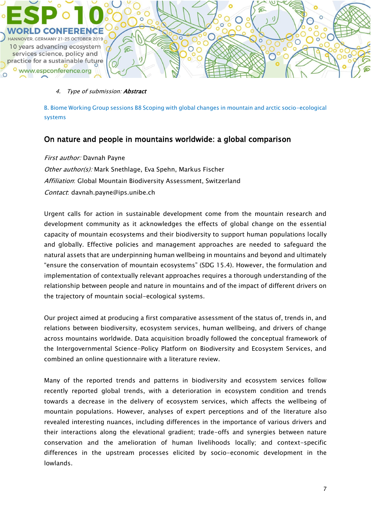

### 4. Type of submission: **Abstract**

B. Biome Working Group sessions B8 Scoping with global changes in mountain and arctic socio-ecological systems

# On nature and people in mountains worldwide: a global comparison

First author: Davnah Payne Other author(s): Mark Snethlage, Eva Spehn, Markus Fischer Affiliation: Global Mountain Biodiversity Assessment, Switzerland Contact: davnah.payne@ips.unibe.ch

Urgent calls for action in sustainable development come from the mountain research and development community as it acknowledges the effects of global change on the essential capacity of mountain ecosystems and their biodiversity to support human populations locally and globally. Effective policies and management approaches are needed to safeguard the natural assets that are underpinning human wellbeing in mountains and beyond and ultimately "ensure the conservation of mountain ecosystems" (SDG 15.4). However, the formulation and implementation of contextually relevant approaches requires a thorough understanding of the relationship between people and nature in mountains and of the impact of different drivers on the trajectory of mountain social-ecological systems.

Our project aimed at producing a first comparative assessment of the status of, trends in, and relations between biodiversity, ecosystem services, human wellbeing, and drivers of change across mountains worldwide. Data acquisition broadly followed the conceptual framework of the Intergovernmental Science-Policy Platform on Biodiversity and Ecosystem Services, and combined an online questionnaire with a literature review.

Many of the reported trends and patterns in biodiversity and ecosystem services follow recently reported global trends, with a deterioration in ecosystem condition and trends towards a decrease in the delivery of ecosystem services, which affects the wellbeing of mountain populations. However, analyses of expert perceptions and of the literature also revealed interesting nuances, including differences in the importance of various drivers and their interactions along the elevational gradient; trade-offs and synergies between nature conservation and the amelioration of human livelihoods locally; and context-specific differences in the upstream processes elicited by socio-economic development in the lowlands.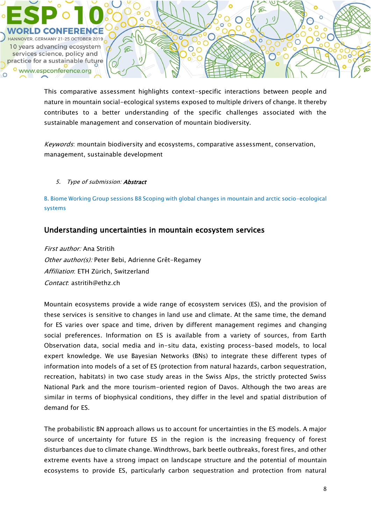

This comparative assessment highlights context-specific interactions between people and nature in mountain social-ecological systems exposed to multiple drivers of change. It thereby contributes to a better understanding of the specific challenges associated with the sustainable management and conservation of mountain biodiversity.

Keywords: mountain biodiversity and ecosystems, comparative assessment, conservation, management, sustainable development

5. Type of submission: Abstract

B. Biome Working Group sessions B8 Scoping with global changes in mountain and arctic socio-ecological systems

# Understanding uncertainties in mountain ecosystem services

First author: Ana Stritih Other author(s): Peter Bebi, Adrienne Grêt-Regamey Affiliation: ETH Zürich, Switzerland Contact: astritih@ethz.ch

Mountain ecosystems provide a wide range of ecosystem services (ES), and the provision of these services is sensitive to changes in land use and climate. At the same time, the demand for ES varies over space and time, driven by different management regimes and changing social preferences. Information on ES is available from a variety of sources, from Earth Observation data, social media and in-situ data, existing process-based models, to local expert knowledge. We use Bayesian Networks (BNs) to integrate these different types of information into models of a set of ES (protection from natural hazards, carbon sequestration, recreation, habitats) in two case study areas in the Swiss Alps, the strictly protected Swiss National Park and the more tourism-oriented region of Davos. Although the two areas are similar in terms of biophysical conditions, they differ in the level and spatial distribution of demand for ES.

The probabilistic BN approach allows us to account for uncertainties in the ES models. A major source of uncertainty for future ES in the region is the increasing frequency of forest disturbances due to climate change. Windthrows, bark beetle outbreaks, forest fires, and other extreme events have a strong impact on landscape structure and the potential of mountain ecosystems to provide ES, particularly carbon sequestration and protection from natural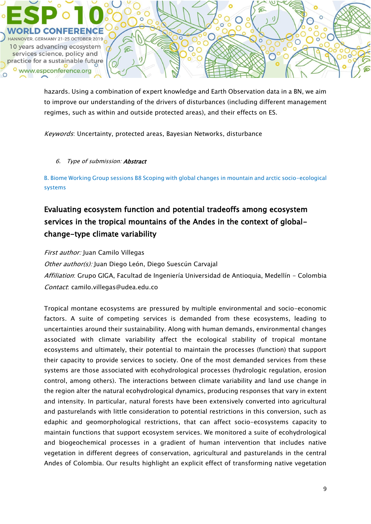

hazards. Using a combination of expert knowledge and Earth Observation data in a BN, we aim to improve our understanding of the drivers of disturbances (including different management regimes, such as within and outside protected areas), and their effects on ES.

Keywords: Uncertainty, protected areas, Bayesian Networks, disturbance

## 6. Type of submission: Abstract

B. Biome Working Group sessions B8 Scoping with global changes in mountain and arctic socio-ecological systems

# Evaluating ecosystem function and potential tradeoffs among ecosystem services in the tropical mountains of the Andes in the context of globalchange-type climate variability

First author: Juan Camilo Villegas

Other author(s): Juan Diego León, Diego Suescún Carvajal

Affiliation: Grupo GIGA, Facultad de Ingeniería Universidad de Antioquia, Medellín - Colombia Contact: camilo.villegas@udea.edu.co

Tropical montane ecosystems are pressured by multiple environmental and socio-economic factors. A suite of competing services is demanded from these ecosystems, leading to uncertainties around their sustainability. Along with human demands, environmental changes associated with climate variability affect the ecological stability of tropical montane ecosystems and ultimately, their potential to maintain the processes (function) that support their capacity to provide services to society. One of the most demanded services from these systems are those associated with ecohydrological processes (hydrologic regulation, erosion control, among others). The interactions between climate variability and land use change in the region alter the natural ecohydrological dynamics, producing responses that vary in extent and intensity. In particular, natural forests have been extensively converted into agricultural and pasturelands with little consideration to potential restrictions in this conversion, such as edaphic and geomorphological restrictions, that can affect socio-ecosystems capacity to maintain functions that support ecosystem services. We monitored a suite of ecohydrological and biogeochemical processes in a gradient of human intervention that includes native vegetation in different degrees of conservation, agricultural and pasturelands in the central Andes of Colombia. Our results highlight an explicit effect of transforming native vegetation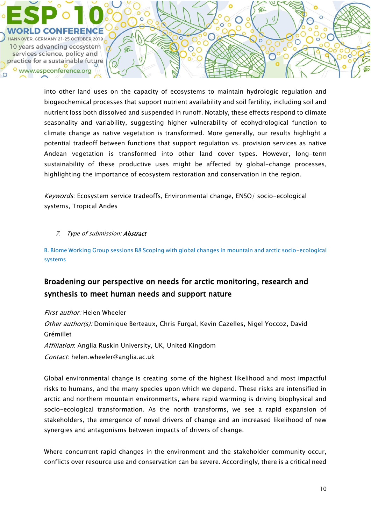

into other land uses on the capacity of ecosystems to maintain hydrologic regulation and biogeochemical processes that support nutrient availability and soil fertility, including soil and nutrient loss both dissolved and suspended in runoff. Notably, these effects respond to climate seasonality and variability, suggesting higher vulnerability of ecohydrological function to climate change as native vegetation is transformed. More generally, our results highlight a potential tradeoff between functions that support regulation vs. provision services as native Andean vegetation is transformed into other land cover types. However, long-term sustainability of these productive uses might be affected by global-change processes, highlighting the importance of ecosystem restoration and conservation in the region.

Keywords: Ecosystem service tradeoffs, Environmental change, ENSO/ socio-ecological systems, Tropical Andes

# 7. Type of submission: **Abstract**

B. Biome Working Group sessions B8 Scoping with global changes in mountain and arctic socio-ecological systems

# Broadening our perspective on needs for arctic monitoring, research and synthesis to meet human needs and support nature

First author: Helen Wheeler Other author(s): Dominique Berteaux, Chris Furgal, Kevin Cazelles, Nigel Yoccoz, David Grémillet Affiliation: Anglia Ruskin University, UK, United Kingdom Contact: helen.wheeler@anglia.ac.uk

Global environmental change is creating some of the highest likelihood and most impactful risks to humans, and the many species upon which we depend. These risks are intensified in arctic and northern mountain environments, where rapid warming is driving biophysical and socio-ecological transformation. As the north transforms, we see a rapid expansion of stakeholders, the emergence of novel drivers of change and an increased likelihood of new synergies and antagonisms between impacts of drivers of change.

Where concurrent rapid changes in the environment and the stakeholder community occur, conflicts over resource use and conservation can be severe. Accordingly, there is a critical need